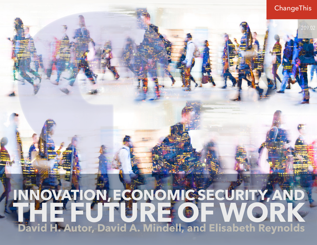# **INNOVATION, ECONOMIC SECURITY, AND THE FUTURE OF WORK David H. Autor, David A. Mindell, and Elisabeth Reynolds**

209.02

**ChangeThis**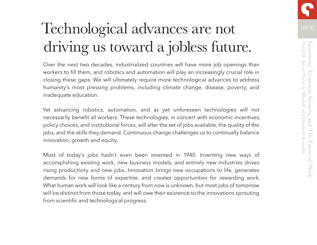# Technological advances are not 209.02 driving us toward a jobless future.

Over the next two decades, industrialized countries will have more job openings than workers to fill them, and robotics and automation will play an increasingly crucial role in closing these gaps. We will ultimately require more technological advances to address humanity's most pressing problems, including climate change, disease, poverty, and inadequate education.

Yet advancing robotics, automation, and as yet unforeseen technologies will not necessarily benefit all workers. These technologies, in concert with economic incentives, policy choices, and institutional forces, will alter the set of jobs available, the quality of the jobs, and the skills they demand. Continuous change challenges us to continually balance innovation, growth and equity.

Most of today's jobs hadn't even been invented in 1940. Inventing new ways of accomplishing existing work, new business models, and entirely new industries drives rising productivity and new jobs. Innovation brings new occupations to life, generates demands for new forms of expertise, and creates opportunities for rewarding work. What human work will look like a century from now is unknown, but most jobs of tomorrow will be distinct from those today, and will owe their existence to the innovations sprouting from scientific and technological progress.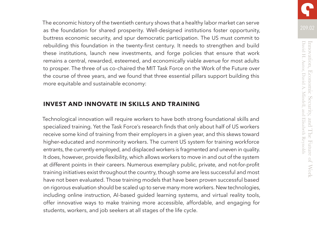The economic history of the twentieth century shows that a healthy labor market can serve as the foundation for shared prosperity. Well-designed institutions foster opportunity, buttress economic security, and spur democratic participation. The US must commit to rebuilding this foundation in the twenty-first century. It needs to strengthen and build these institutions, launch new investments, and forge policies that ensure that work remains a central, rewarded, esteemed, and economically viable avenue for most adults to prosper. The three of us co-chaired the MIT Task Force on the Work of the Future over the course of three years, and we found that three essential pillars support building this more equitable and sustainable economy:

## **INVEST AND INNOVATE IN SKILLS AND TRAINING**

Technological innovation will require workers to have both strong foundational skills and specialized training. Yet the Task Force's research finds that only about half of US workers receive some kind of training from their employers in a given year, and this skews toward higher-educated and nonminority workers. The current US system for training workforce entrants, the currently employed, and displaced workers is fragmented and uneven in quality. It does, however, provide flexibility, which allows workers to move in and out of the system at different points in their careers. Numerous exemplary public, private, and not-for-profit training initiatives exist throughout the country, though some are less successful and most have not been evaluated. Those training models that have been proven successful based on rigorous evaluation should be scaled up to serve many more workers. New technologies, including online instruction, AI-based guided learning systems, and virtual reality tools, offer innovative ways to make training more accessible, affordable, and engaging for students, workers, and job seekers at all stages of the life cycle.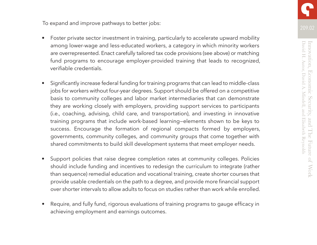209.02 To expand and improve pathways to better jobs:

- Foster private sector investment in training, particularly to accelerate upward mobility among lower-wage and less-educated workers, a category in which minority workers are overrepresented. Enact carefully tailored tax code provisions (see above) or matching fund programs to encourage employer-provided training that leads to recognized, verifiable credentials.
- Significantly increase federal funding for training programs that can lead to middle-class jobs for workers without four-year degrees. Support should be offered on a competitive basis to community colleges and labor market intermediaries that can demonstrate they are working closely with employers, providing support services to participants (i.e., coaching, advising, child care, and transportation), and investing in innovative training programs that include work-based learning—elements shown to be keys to success. Encourage the formation of regional compacts formed by employers, governments, community colleges, and community groups that come together with shared commitments to build skill development systems that meet employer needs.
- Support policies that raise degree completion rates at community colleges. Policies should include funding and incentives to redesign the curriculum to integrate (rather than sequence) remedial education and vocational training, create shorter courses that provide usable credentials on the path to a degree, and provide more financial support over shorter intervals to allow adults to focus on studies rather than work while enrolled.
- Require, and fully fund, rigorous evaluations of training programs to gauge efficacy in achieving employment and earnings outcomes.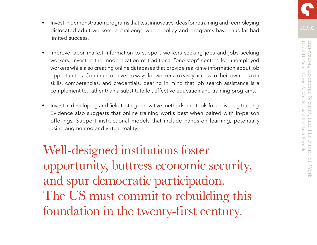- Invest in demonstration programs that test innovative ideas for retraining and reemploying dislocated adult workers, a challenge where policy and programs have thus far had limited success.
- Improve labor market information to support workers seeking jobs and jobs seeking workers. Invest in the modernization of traditional "one-stop" centers for unemployed workers while also creating online databases that provide real-time information about job opportunities. Continue to develop ways for workers to easily access to their own data on skills, competencies, and credentials, bearing in mind that job search assistance is a complement to, rather than a substitute for, effective education and training programs.
- Invest in developing and field testing innovative methods and tools for delivering training. Evidence also suggests that online training works best when paired with in-person offerings. Support instructional models that include hands-on learning, potentially using augmented and virtual reality.

Well-designed institutions foster opportunity, buttress economic security, and spur democratic participation. The US must commit to rebuilding this foundation in the twenty-first century.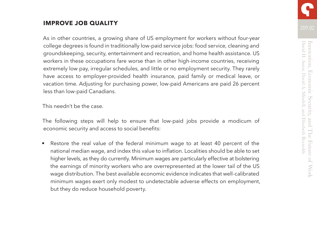### **IMPROVE JOB QUALITY**

As in other countries, a growing share of US employment for workers without four-year college degrees is found in traditionally low-paid service jobs: food service, cleaning and groundskeeping, security, entertainment and recreation, and home health assistance. US workers in these occupations fare worse than in other high-income countries, receiving extremely low pay, irregular schedules, and little or no employment security. They rarely have access to employer-provided health insurance, paid family or medical leave, or vacation time. Adjusting for purchasing power, low-paid Americans are paid 26 percent less than low-paid Canadians.

This needn't be the case.

The following steps will help to ensure that low-paid jobs provide a modicum of economic security and access to social benefits:

• Restore the real value of the federal minimum wage to at least 40 percent of the national median wage, and index this value to inflation. Localities should be able to set higher levels, as they do currently. Minimum wages are particularly effective at bolstering the earnings of minority workers who are overrepresented at the lower tail of the US wage distribution. The best available economic evidence indicates that well-calibrated minimum wages exert only modest to undetectable adverse effects on employment, but they do reduce household poverty.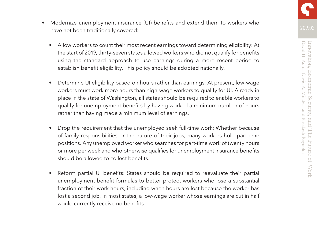- Modernize unemployment insurance (UI) benefits and extend them to workers who have not been traditionally covered:
	- Allow workers to count their most recent earnings toward determining eligibility: At the start of 2019, thirty-seven states allowed workers who did not qualify for benefits using the standard approach to use earnings during a more recent period to establish benefit eligibility. This policy should be adopted nationally.
	- Determine UI eligibility based on hours rather than earnings: At present, low-wage workers must work more hours than high-wage workers to qualify for UI. Already in place in the state of Washington, all states should be required to enable workers to qualify for unemployment benefits by having worked a minimum number of hours rather than having made a minimum level of earnings.
	- Drop the requirement that the unemployed seek full-time work: Whether because of family responsibilities or the nature of their jobs, many workers hold part-time positions. Any unemployed worker who searches for part-time work of twenty hours or more per week and who otherwise qualifies for unemployment insurance benefits should be allowed to collect benefits.
	- Reform partial UI benefits: States should be required to reevaluate their partial unemployment benefit formulas to better protect workers who lose a substantial fraction of their work hours, including when hours are lost because the worker has lost a second job. In most states, a low-wage worker whose earnings are cut in half would currently receive no benefits.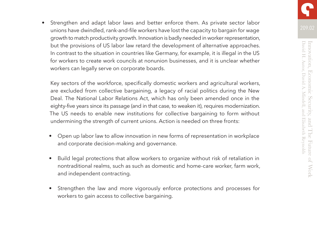Strengthen and adapt labor laws and better enforce them. As private sector labor unions have dwindled, rank-and-file workers have lost the capacity to bargain for wage growth to match productivity growth. Innovation is badly needed in worker representation, but the provisions of US labor law retard the development of alternative approaches. In contrast to the situation in countries like Germany, for example, it is illegal in the US for workers to create work councils at nonunion businesses, and it is unclear whether workers can legally serve on corporate boards.

Key sectors of the workforce, specifically domestic workers and agricultural workers, are excluded from collective bargaining, a legacy of racial politics during the New Deal. The National Labor Relations Act, which has only been amended once in the eighty-five years since its passage (and in that case, to weaken it), requires modernization. The US needs to enable new institutions for collective bargaining to form without undermining the strength of current unions. Action is needed on three fronts:

- Open up labor law to allow innovation in new forms of representation in workplace and corporate decision-making and governance.
- Build legal protections that allow workers to organize without risk of retaliation in nontraditional realms, such as such as domestic and home-care worker, farm work, and independent contracting.
- Strengthen the law and more vigorously enforce protections and processes for workers to gain access to collective bargaining.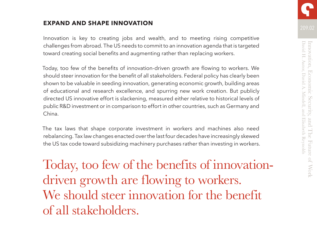## **EXPAND AND SHAPE INNOVATION**

Innovation is key to creating jobs and wealth, and to meeting rising competitive challenges from abroad. The US needs to commit to an innovation agenda that is targeted toward creating social benefits and augmenting rather than replacing workers.

Today, too few of the benefits of innovation-driven growth are flowing to workers. We should steer innovation for the benefit of all stakeholders. Federal policy has clearly been shown to be valuable in seeding innovation, generating economic growth, building areas of educational and research excellence, and spurring new work creation. But publicly directed US innovative effort is slackening, measured either relative to historical levels of public R&D investment or in comparison to effort in other countries, such as Germany and China.

The tax laws that shape corporate investment in workers and machines also need rebalancing. Tax law changes enacted over the last four decades have increasingly skewed the US tax code toward subsidizing machinery purchases rather than investing in workers.

Today, too few of the benefits of innovationdriven growth are flowing to workers. We should steer innovation for the benefit of all stakeholders.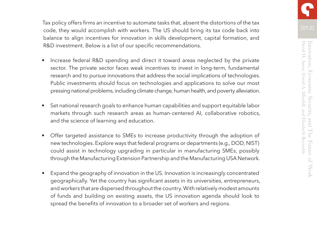Tax policy offers firms an incentive to automate tasks that, absent the distortions of the tax code, they would accomplish with workers. The US should bring its tax code back into balance to align incentives for innovation in skills development, capital formation, and R&D investment. Below is a list of our specific recommendations.

- Increase federal R&D spending and direct it toward areas neglected by the private sector. The private sector faces weak incentives to invest in long-term, fundamental research and to pursue innovations that address the social implications of technologies. Public investments should focus on technologies and applications to solve our most pressing national problems, including climate change, human health, and poverty alleviation.
- Set national research goals to enhance human capabilities and support equitable labor markets through such research areas as human-centered AI, collaborative robotics, and the science of learning and education.
- Offer targeted assistance to SMEs to increase productivity through the adoption of new technologies. Explore ways that federal programs or departments (e.g., DOD, NIST) could assist in technology upgrading in particular in manufacturing SMEs, possibly through the Manufacturing Extension Partnership and the Manufacturing USA Network.
- Expand the geography of innovation in the US. Innovation is increasingly concentrated geographically. Yet the country has significant assets in its universities, entrepreneurs, and workers that are dispersed throughout the country. With relatively modest amounts of funds and building on existing assets, the US innovation agenda should look to spread the benefits of innovation to a broader set of workers and regions.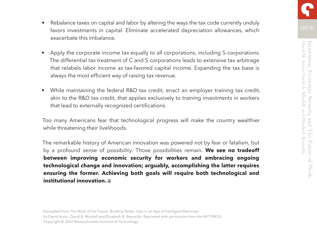- Rebalance taxes on capital and labor by altering the ways the tax code currently unduly favors investments in capital. Eliminate accelerated depreciation allowances, which exacerbate this imbalance.
- Apply the corporate income tax equally to all corporations, including S-corporations. The differential tax treatment of C and S corporations leads to extensive tax arbitrage that relabels labor income as tax-favored capital income. Expanding the tax base is always the most efficient way of raising tax revenue.
- While maintaining the federal R&D tax credit, enact an employer training tax credit, akin to the R&D tax credit, that applies exclusively to training investments in workers that lead to externally recognized certifications.

Too many Americans fear that technological progress will make the country wealthier while threatening their livelihoods.

The remarkable history of American innovation was powered not by fear or fatalism, but by a profound sense of possibility. Those possibilities remain. **We see no tradeoff between improving economic security for workers and embracing ongoing technological change and innovation; arguably, accomplishing the latter requires ensuring the former. Achieving both goals will require both technological and institutional innovation.**

Excerpted from *The Work of the Future: Building Better Jobs in an Age of Intelligent Machines* by David Autor, David A. Mindell and Elisabeth B. Reynolds. Reprinted with permission from the MIT PRESS. Copyright © 2022 Massachusetts Institute of Technology.